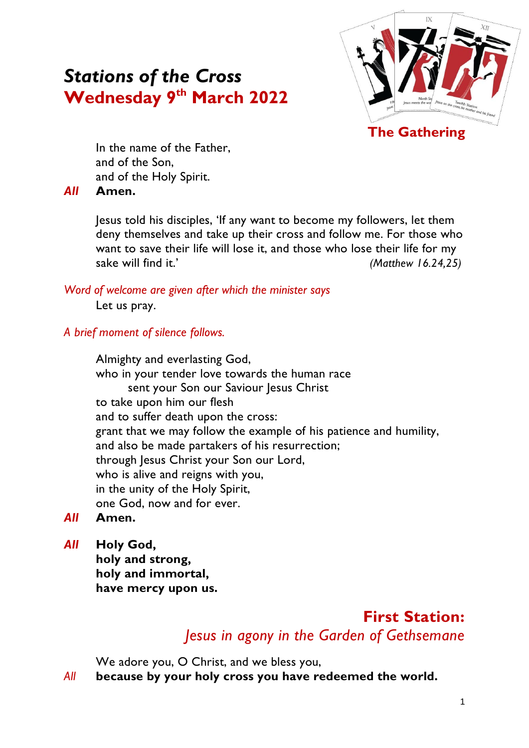# *Stations of the Cross* **Wednesday 9 th March 2022**



**The Gathering**

In the name of the Father, and of the Son, and of the Holy Spirit.

#### *All* **Amen.**

Jesus told his disciples, 'If any want to become my followers, let them deny themselves and take up their cross and follow me. For those who want to save their life will lose it, and those who lose their life for my sake will find it.' *(Matthew 16.24,25)*

#### *Word of welcome are given after which the minister says*

Let us pray.

#### *A brief moment of silence follows.*

Almighty and everlasting God, who in your tender love towards the human race sent your Son our Saviour Jesus Christ to take upon him our flesh and to suffer death upon the cross: grant that we may follow the example of his patience and humility, and also be made partakers of his resurrection; through Jesus Christ your Son our Lord, who is alive and reigns with you, in the unity of the Holy Spirit, one God, now and for ever.

- *All* **Amen.**
- *All* **Holy God,**

**holy and strong, holy and immortal, have mercy upon us.**

# **First Station:**  *Jesus in agony in the Garden of Gethsemane*

We adore you, O Christ, and we bless you,

*All* **because by your holy cross you have redeemed the world.**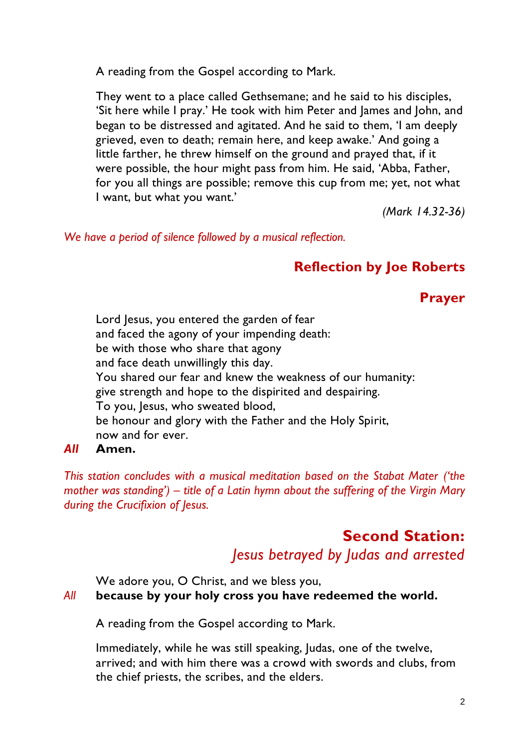A reading from the Gospel according to Mark.

They went to a place called Gethsemane; and he said to his disciples, 'Sit here while I pray.' He took with him Peter and James and John, and began to be distressed and agitated. And he said to them, 'I am deeply grieved, even to death; remain here, and keep awake.' And going a little farther, he threw himself on the ground and prayed that, if it were possible, the hour might pass from him. He said, 'Abba, Father, for you all things are possible; remove this cup from me; yet, not what I want, but what you want.'

*(Mark 14.32-36)*

*We have a period of silence followed by a musical reflection.*

### **Reflection by Joe Roberts**

**Prayer**

Lord Jesus, you entered the garden of fear and faced the agony of your impending death: be with those who share that agony and face death unwillingly this day. You shared our fear and knew the weakness of our humanity: give strength and hope to the dispirited and despairing. To you, Jesus, who sweated blood, be honour and glory with the Father and the Holy Spirit, now and for ever.

#### *All* **Amen.**

*This station concludes with a musical meditation based on the Stabat Mater ('the mother was standing') – title of a Latin hymn about the suffering of the Virgin Mary during the Crucifixion of Jesus.*

# **Second Station:**  *Jesus betrayed by Judas and arrested*

We adore you, O Christ, and we bless you,

#### *All* **because by your holy cross you have redeemed the world.**

A reading from the Gospel according to Mark.

Immediately, while he was still speaking, Judas, one of the twelve, arrived; and with him there was a crowd with swords and clubs, from the chief priests, the scribes, and the elders.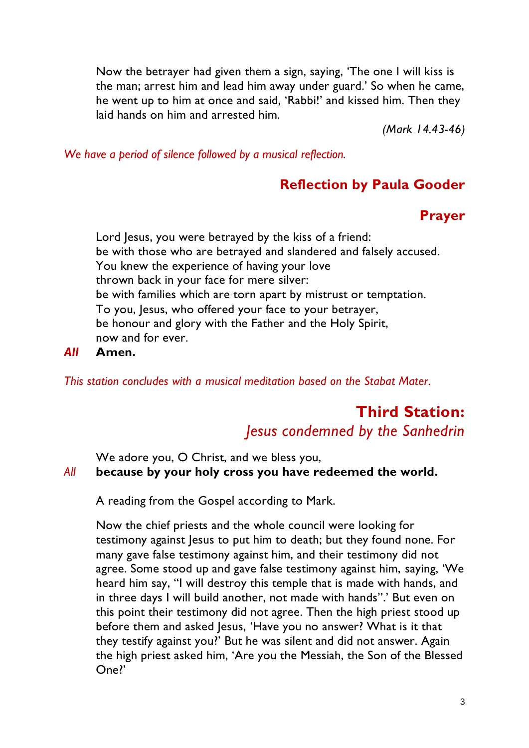Now the betrayer had given them a sign, saying, 'The one I will kiss is the man; arrest him and lead him away under guard.' So when he came, he went up to him at once and said, 'Rabbi!' and kissed him. Then they laid hands on him and arrested him.

*(Mark 14.43-46)*

*We have a period of silence followed by a musical reflection.*

### **Reflection by Paula Gooder**

# **Prayer**

Lord Jesus, you were betrayed by the kiss of a friend: be with those who are betrayed and slandered and falsely accused. You knew the experience of having your love thrown back in your face for mere silver: be with families which are torn apart by mistrust or temptation. To you, Jesus, who offered your face to your betrayer, be honour and glory with the Father and the Holy Spirit, now and for ever.

#### *All* **Amen.**

*This station concludes with a musical meditation based on the Stabat Mater.*

# **Third Station:**  *Jesus condemned by the Sanhedrin*

We adore you, O Christ, and we bless you,

#### *All* **because by your holy cross you have redeemed the world.**

A reading from the Gospel according to Mark.

Now the chief priests and the whole council were looking for testimony against Jesus to put him to death; but they found none. For many gave false testimony against him, and their testimony did not agree. Some stood up and gave false testimony against him, saying, 'We heard him say, "I will destroy this temple that is made with hands, and in three days I will build another, not made with hands".' But even on this point their testimony did not agree. Then the high priest stood up before them and asked Jesus, 'Have you no answer? What is it that they testify against you?' But he was silent and did not answer. Again the high priest asked him, 'Are you the Messiah, the Son of the Blessed One?'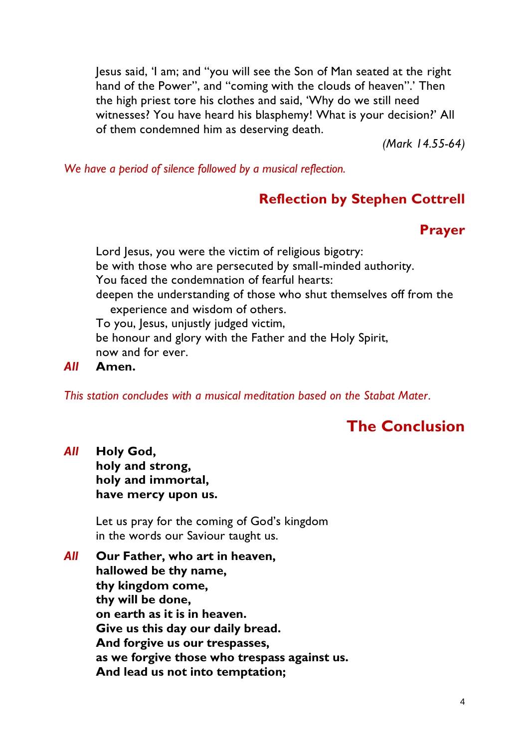Jesus said, 'I am; and "you will see the Son of Man seated at the right hand of the Power", and "coming with the clouds of heaven".' Then the high priest tore his clothes and said, 'Why do we still need witnesses? You have heard his blasphemy! What is your decision?' All of them condemned him as deserving death.

*(Mark 14.55-64)*

*We have a period of silence followed by a musical reflection.*

# **Reflection by Stephen Cottrell**

# **Prayer**

Lord Jesus, you were the victim of religious bigotry: be with those who are persecuted by small-minded authority. You faced the condemnation of fearful hearts: deepen the understanding of those who shut themselves off from the experience and wisdom of others. To you, lesus, unjustly judged victim, be honour and glory with the Father and the Holy Spirit, now and for ever.

*All* **Amen.**

*This station concludes with a musical meditation based on the Stabat Mater.*

# **The Conclusion**

*All* **Holy God, holy and strong,**

**holy and immortal, have mercy upon us.**

Let us pray for the coming of God's kingdom in the words our Saviour taught us.

*All* **Our Father, who art in heaven, hallowed be thy name, thy kingdom come, thy will be done, on earth as it is in heaven. Give us this day our daily bread. And forgive us our trespasses, as we forgive those who trespass against us. And lead us not into temptation;**